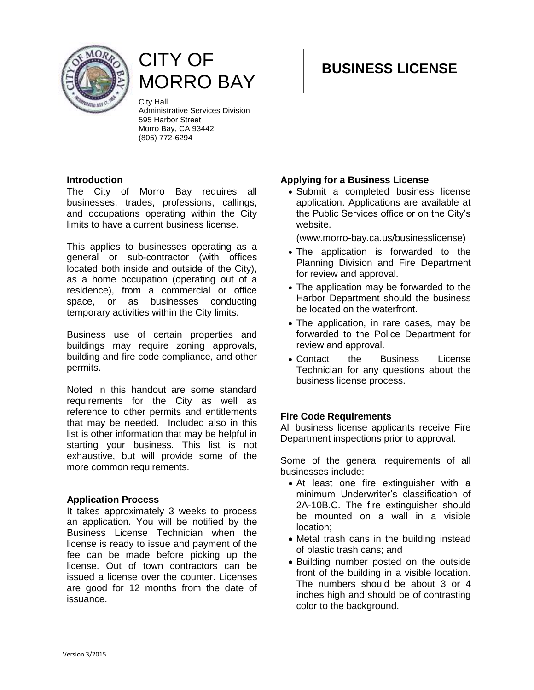

# CITY OF MORRO BAY

City Hall Administrative Services Division 595 Harbor Street Morro Bay, CA 93442 (805) 772-6294

#### **Introduction**

The City of Morro Bay requires all businesses, trades, professions, callings, and occupations operating within the City limits to have a current business license.

This applies to businesses operating as a general or sub-contractor (with offices located both inside and outside of the City), as a home occupation (operating out of a residence), from a commercial or office space, or as businesses conducting temporary activities within the City limits.

Business use of certain properties and buildings may require zoning approvals, building and fire code compliance, and other permits.

Noted in this handout are some standard requirements for the City as well as reference to other permits and entitlements that may be needed. Included also in this list is other information that may be helpful in starting your business. This list is not exhaustive, but will provide some of the more common requirements.

#### **Application Process**

It takes approximately 3 weeks to process an application. You will be notified by the Business License Technician when the license is ready to issue and payment of the fee can be made before picking up the license. Out of town contractors can be issued a license over the counter. Licenses are good for 12 months from the date of issuance.

#### **Applying for a Business License**

 Submit a completed business license application. Applications are available at the Public Services office or on the City's website.

(www.morro-bay.ca.us/businesslicense)

- The application is forwarded to the Planning Division and Fire Department for review and approval.
- The application may be forwarded to the Harbor Department should the business be located on the waterfront.
- The application, in rare cases, may be forwarded to the Police Department for review and approval.
- Contact the Business License Technician for any questions about the business license process.

## **Fire Code Requirements**

All business license applicants receive Fire Department inspections prior to approval.

Some of the general requirements of all businesses include:

- At least one fire extinguisher with a minimum Underwriter's classification of 2A-10B.C. The fire extinguisher should be mounted on a wall in a visible location;
- Metal trash cans in the building instead of plastic trash cans; and
- Building number posted on the outside front of the building in a visible location. The numbers should be about 3 or 4 inches high and should be of contrasting color to the background.